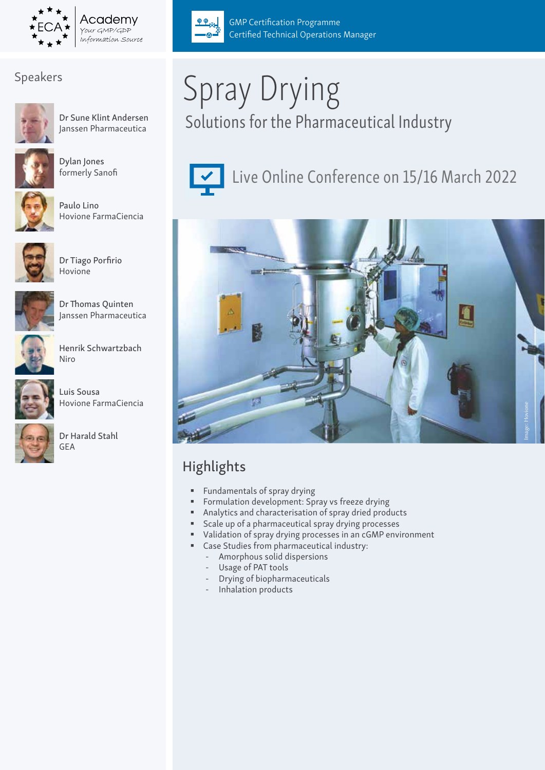

# Speakers



Dr Sune Klint Andersen Janssen Pharmaceutica



Dylan Jones formerly Sanofi



Paulo Lino Hovione FarmaCiencia



Dr Tiago Porfirio Hovione



Dr Thomas Quinten Janssen Pharmaceutica



Henrik Schwartzbach Niro



Dr Harald Stahl GEA



Certified Technical Operations Manager

GMP Certification Programme



 $QQ_{\text{val}}$ 

Live Online Conference on 15/16 March 2022



# Highlights

- **Fundamentals of spray drying**
- **Formulation development: Spray vs freeze drying**
- Analytics and characterisation of spray dried products
- **Scale up of a pharmaceutical spray drying processes**
- Validation of spray drying processes in an cGMP environment
- Case Studies from pharmaceutical industry:
	- Amorphous solid dispersions
	- Usage of PAT tools
	- Drying of biopharmaceuticals
	- Inhalation products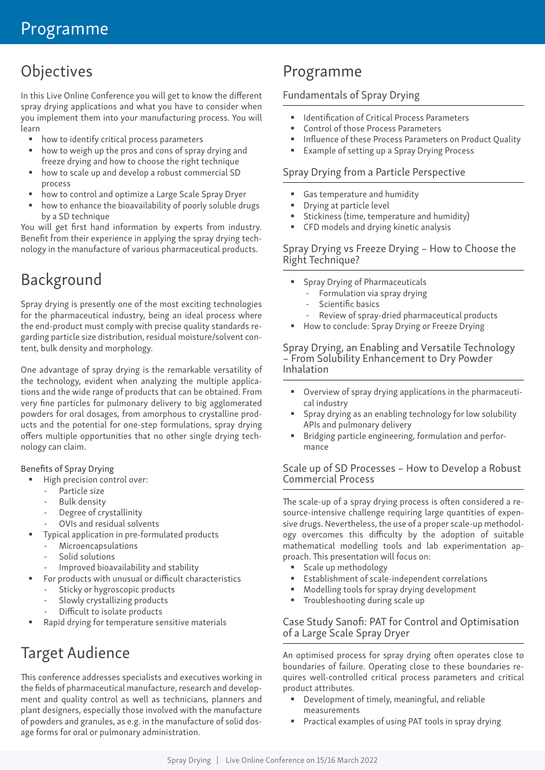# **Objectives**

In this Live Online Conference you will get to know the different spray drying applications and what you have to consider when you implement them into your manufacturing process. You will learn

- how to identify critical process parameters
- how to weigh up the pros and cons of spray drying and freeze drying and how to choose the right technique
- how to scale up and develop a robust commercial SD process
- how to control and optimize a Large Scale Spray Dryer
- how to enhance the bioavailability of poorly soluble drugs by a SD technique

You will get first hand information by experts from industry. Benefit from their experience in applying the spray drying technology in the manufacture of various pharmaceutical products.

# Background

Spray drying is presently one of the most exciting technologies for the pharmaceutical industry, being an ideal process where the end-product must comply with precise quality standards regarding particle size distribution, residual moisture/solvent content, bulk density and morphology.

One advantage of spray drying is the remarkable versatility of the technology, evident when analyzing the multiple applications and the wide range of products that can be obtained. From very fine particles for pulmonary delivery to big agglomerated powders for oral dosages, from amorphous to crystalline products and the potential for one-step formulations, spray drying offers multiple opportunities that no other single drying technology can claim.

#### Benefits of Spray Drying

- High precision control over:
	- Particle size
	- Bulk density
	- Degree of crystallinity
	- OVIs and residual solvents
- Typical application in pre-formulated products
	- **Microencapsulations**
	- Solid solutions
	- Improved bioavailability and stability
- For products with unusual or difficult characteristics
	- Sticky or hygroscopic products
	- Slowly crystallizing products
	- Difficult to isolate products
- Rapid drying for temperature sensitive materials

# Target Audience

This conference addresses specialists and executives working in the fields of pharmaceutical manufacture, research and development and quality control as well as technicians, planners and plant designers, especially those involved with the manufacture of powders and granules, as e.g. in the manufacture of solid dosage forms for oral or pulmonary administration.

# Programme

# Fundamentals of Spray Drying

- Identification of Critical Process Parameters
- Control of those Process Parameters
- Influence of these Process Parameters on Product Quality
- Example of setting up a Spray Drying Process

## Spray Drying from a Particle Perspective

- Gas temperature and humidity
- Drying at particle level
- Stickiness (time, temperature and humidity)
- CFD models and drying kinetic analysis

#### Spray Drying vs Freeze Drying – How to Choose the Right Technique?

- **Spray Drying of Pharmaceuticals** 
	- Formulation via spray drying
	- Scientific basics
	- Review of spray-dried pharmaceutical products
- How to conclude: Spray Drying or Freeze Drying

#### Spray Drying, an Enabling and Versatile Technology – From Solubility Enhancement to Dry Powder Inhalation

- Overview of spray drying applications in the pharmaceutical industry
- Spray drying as an enabling technology for low solubility APIs and pulmonary delivery
- Bridging particle engineering, formulation and performance

#### Scale up of SD Processes – How to Develop a Robust Commercial Process

The scale-up of a spray drying process is often considered a resource-intensive challenge requiring large quantities of expensive drugs. Nevertheless, the use of a proper scale-up methodology overcomes this difficulty by the adoption of suitable mathematical modelling tools and lab experimentation approach. This presentation will focus on:

- **Scale up methodology**
- Establishment of scale-independent correlations
- Modelling tools for spray drying development
- **Troubleshooting during scale up**

#### Case Study Sanofi: PAT for Control and Optimisation of a Large Scale Spray Dryer

An optimised process for spray drying often operates close to boundaries of failure. Operating close to these boundaries requires well-controlled critical process parameters and critical product attributes.

- Development of timely, meaningful, and reliable measurements
- **Practical examples of using PAT tools in spray drying**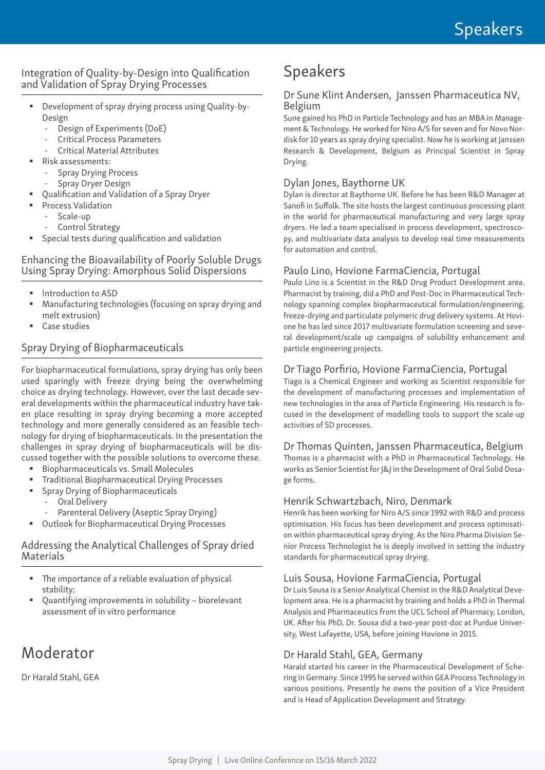## Integration of Quality-by-Design into Qualification and Validation of Spray Drying Processes

- Development of spray drying process using Quality-by-Design
	- Design of Experiments (DoE)
	- Critical Process Parameters
	- Critical Material Attributes
- Risk assessments:
	- Spray Drying Process
	- Spray Dryer Design
- Qualification and Validation of a Spray Dryer
	- Process Validation
	- Scale-up
	- Control Strategy
- Special tests during qualification and validation

#### Enhancing the Bioavailability of Poorly Soluble Drugs Using Spray Drying: Amorphous Solid Dispersions

- Introduction to ASD
- Manufacturing technologies (focusing on spray drying and melt extrusion)
- Case studies

# Spray Drying of Biopharmaceuticals

For biopharmaceutical formulations, spray drying has only been used sparingly with freeze drying being the overwhelming choice as drying technology. However, over the last decade several developments within the pharmaceutical industry have taken place resulting in spray drying becoming a more accepted technology and more generally considered as an feasible technology for drying of biopharmaceuticals. In the presentation the challenges in spray drying of biopharmaceuticals will be discussed together with the possible solutions to overcome these.

- Biopharmaceuticals vs. Small Molecules
- Traditional Biopharmaceutical Drying Processes
	- Spray Drying of Biopharmaceuticals
		- Oral Delivery
		- Parenteral Delivery (Aseptic Spray Drying)
- Outlook for Biopharmaceutical Drying Processes

#### Addressing the Analytical Challenges of Spray dried Materials

- The importance of a reliable evaluation of physical stability;
- Quantifying improvements in solubility biorelevant assessment of in vitro performance

# Moderator

Dr Harald Stahl, GEA

# Speakers

#### Dr Sune Klint Andersen, Janssen Pharmaceutica NV, Belgium

Sune gained his PhD in Particle Technology and has an MBA in Management & Technology. He worked for Niro A/S for seven and for Novo Nordisk for 10 years as spray drying specialist. Now he is working at Janssen Research & Development, Belgium as Principal Scientist in Spray Drying.

### Dylan Jones, Baythorne UK

Dylan is director at Baythorne UK. Before he has been R&D Manager at Sanofi in Suffolk. The site hosts the largest continuous processing plant in the world for pharmaceutical manufacturing and very large spray dryers. He led a team specialised in process development, spectroscopy, and multivariate data analysis to develop real time measurements for automation and control.

#### Paulo Lino, Hovione FarmaCiencia, Portugal

Paulo Lino is a Scientist in the R&D Drug Product Development area. Pharmacist by training, did a PhD and Post-Doc in Pharmaceutical Technology spanning complex biopharmaceutical formulation/engineering, freeze-drying and particulate polymeric drug delivery systems. At Hovione he has led since 2017 multivariate formulation screening and several development/scale up campaigns of solubility enhancement and particle engineering projects.

#### Dr Tiago Porfirio, Hovione FarmaCiencia, Portugal

Tiago is a Chemical Engineer and working as Scientist responsible for the development of manufacturing processes and implementation of new technologies in the area of Particle Engineering. His research is focused in the development of modelling tools to support the scale-up activities of SD processes.

#### Dr Thomas Quinten, Janssen Pharmaceutica, Belgium

Thomas is a pharmacist with a PhD in Pharmaceutical Technology. He works as Senior Scientist for J&J in the Development of Oral Solid Dosage forms.

#### Henrik Schwartzbach, Niro, Denmark

Henrik has been working for Niro A/S since 1992 with R&D and process optimisation. His focus has been development and process optimisation within pharmaceutical spray drying. As the Niro Pharma Division Senior Process Technologist he is deeply involved in setting the industry standards for pharmaceutical spray drying.

#### Luis Sousa, Hovione FarmaCiencia, Portugal

Dr Luis Sousa is a Senior Analytical Chemist in the R&D Analytical Development area. He is a pharmacist by training and holds a PhD in Thermal Analysis and Pharmaceutics from the UCL School of Pharmacy, London, UK. After his PhD, Dr. Sousa did a two-year post-doc at Purdue University, West Lafayette, USA, before joining Hovione in 2015.

#### Dr Harald Stahl, GEA, Germany

Harald started his career in the Pharmaceutical Development of Schering in Germany. Since 1995 he served within GEA Process Technology in various positions. Presently he owns the position of a Vice President and is Head of Application Development and Strategy.